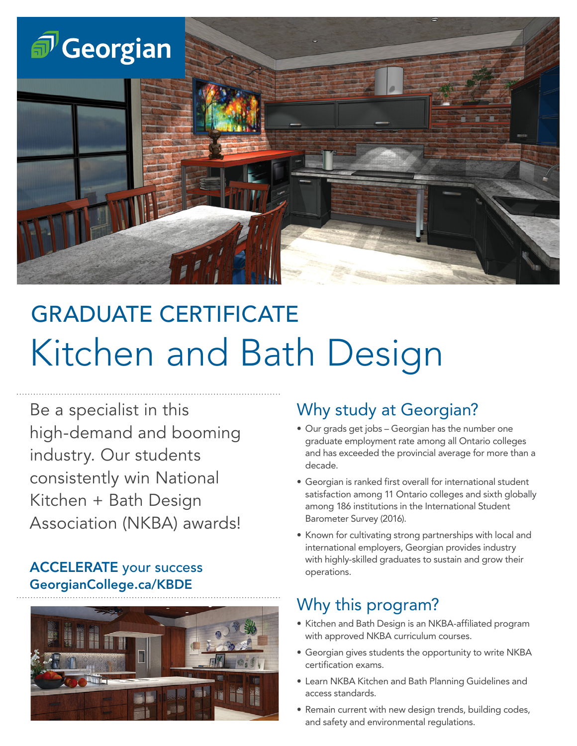

# GRADUATE CERTIFICATE Kitchen and Bath Design

Be a specialist in this high-demand and booming industry. Our students consistently win National Kitchen + Bath Design Association (NKBA) awards!

#### ACCELERATE your success GeorgianCollege.ca/KBDE



### Why study at Georgian?

- Our grads get jobs Georgian has the number one graduate employment rate among all Ontario colleges and has exceeded the provincial average for more than a decade.
- Georgian is ranked first overall for international student satisfaction among 11 Ontario colleges and sixth globally among 186 institutions in the International Student Barometer Survey (2016).
- Known for cultivating strong partnerships with local and international employers, Georgian provides industry with highly-skilled graduates to sustain and grow their operations.

# Why this program?

- Kitchen and Bath Design is an NKBA-affiliated program with approved NKBA curriculum courses.
- Georgian gives students the opportunity to write NKBA certification exams.
- Learn NKBA Kitchen and Bath Planning Guidelines and access standards.
- Remain current with new design trends, building codes, and safety and environmental regulations.